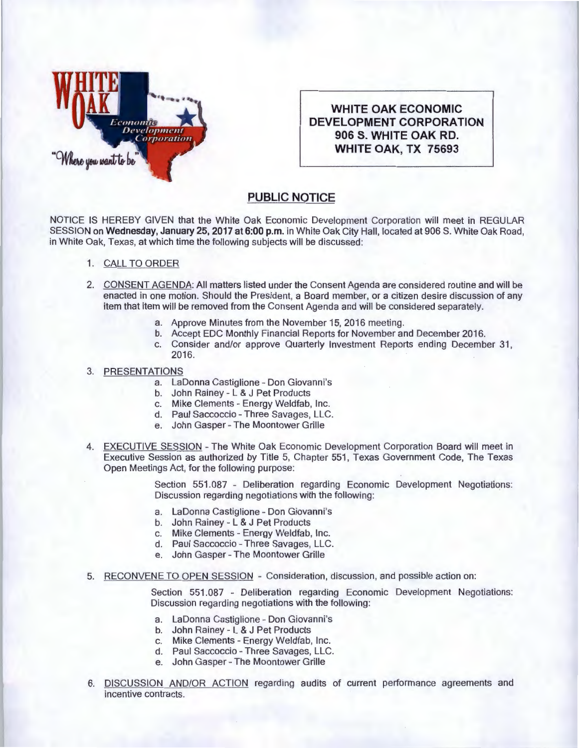

**WHITE OAK ECONOMIC DEVELOPMENT CORPORATION 906 S. WHITE OAK RD. WHITE OAK, TX 75693** 

## **PUBLIC NOTICE**

NOTICE IS HEREBY GIVEN that the White Oak Economic Development Corporation will meet in REGULAR SESSION on Wednesday, January 25, 2017 at 6:00 p.m. in White Oak City Hall, located at 906 S. White Oak Road, in White Oak, Texas, at which time the following subjects will be discussed:

- 1. CALL TO ORDER
- 2. CONSENT AGENDA: All matters listed under the Consent Agenda are considered routine and will be enacted in one motion. Should the President, a Board member, or a citizen desire discussion of any item that item will be removed from the Consent Agenda and will be considered separately.
	- a. Approve Minutes from the November 15, 2016 meeting.
	- b. Accept EDC Monthly Financial Reports for November and December 2016.
	- c. Consider and/or approve Quarterly Investment Reports ending December 31 , 2016.

## 3. PRESENTATIONS

- a. LaDonna Castiglione Don Giovanni's
- b. John Rainey L & J Pet Products
- c. Mike Clements Energy Weldfab, Inc.
- d. Paul Saccoccio- Three Savages, LLC.
- e. John Gasper- The Moontower Grille
- 4. EXECUTIVE SESSION The White Oak Economic Development Corporation Board will meet in Executive Session as authorized by Title 5, Chapter 551 , Texas Government Code, The Texas Open Meetings Act, for the following purpose:

Section 551.087 - Deliberation regarding Economic Development Negotiations: Discussion regarding negotiations with the following:

- a. LaDonna Castiglione Don Giovanni's
- b. John Rainey L & J Pet Products
- c. Mike Clements Energy Weldfab, Inc.
- d. Paul Saccoccio Three Savages, LLC.
- e. John Gasper- The Moontower Grille
- 5. RECONVENE TO OPEN SESSION Consideration, discussion, and possible action on:

Section 551.087 - Deliberation regarding Economic Development Negotiations: Discussion regarding negotiations with the following:

- a. La Donna Castiglione Don Giovanni's
- b. John Rainey L & J Pet Products
- c. Mike Clements Energy Weldfab, Inc.
- d. Paul Saccoccio Three Savages, LLC.
- e. John Gasper- The Moontower Grille
- 6. DISCUSSION AND/OR ACTION regarding audits of current performance agreements and incentive contracts.